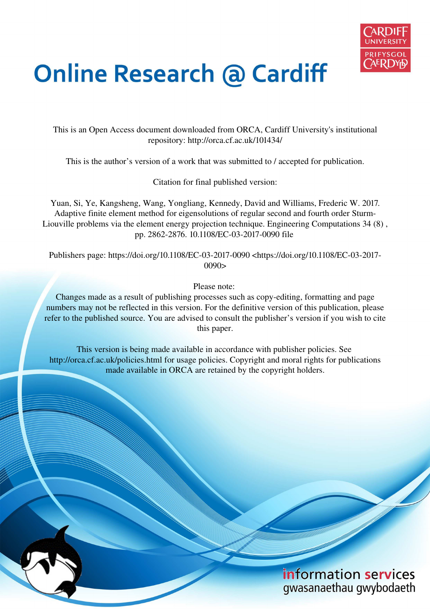

# **Online Research @ Cardiff**

This is an Open Access document downloaded from ORCA, Cardiff University's institutional repository: http://orca.cf.ac.uk/101434/

This is the author's version of a work that was submitted to / accepted for publication.

Citation for final published version:

Yuan, Si, Ye, Kangsheng, Wang, Yongliang, Kennedy, David and Williams, Frederic W. 2017. Adaptive finite element method for eigensolutions of regular second and fourth order Sturm-Liouville problems via the element energy projection technique. Engineering Computations 34 (8) , pp. 2862-2876. 10.1108/EC-03-2017-0090 file

Publishers page: https://doi.org/10.1108/EC-03-2017-0090 <https://doi.org/10.1108/EC-03-2017- 0090>

Please note:

Changes made as a result of publishing processes such as copy-editing, formatting and page numbers may not be reflected in this version. For the definitive version of this publication, please refer to the published source. You are advised to consult the publisher's version if you wish to cite this paper.

This version is being made available in accordance with publisher policies. See http://orca.cf.ac.uk/policies.html for usage policies. Copyright and moral rights for publications made available in ORCA are retained by the copyright holders.

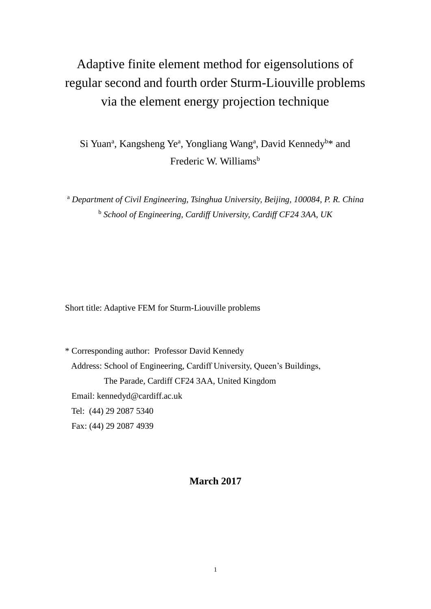# Adaptive finite element method for eigensolutions of regular second and fourth order Sturm-Liouville problems via the element energy projection technique

Si Yuan<sup>a</sup>, Kangsheng Ye<sup>a</sup>, Yongliang Wang<sup>a</sup>, David Kennedy<sup>b\*</sup> and Frederic W. Williams<sup>b</sup>

<sup>a</sup> Department of Civil Engineering, Tsinghua University, Beijing, 100084, P. R. China b  *School of Engineering, Cardiff University, Cardiff CF24 3AA, UK* 

Short title: Adaptive FEM for Sturm-Liouville problems

\* Corresponding author: Professor David Kennedy Address: School of Engineering, Cardiff University, Queen's Buildings, The Parade, Cardiff CF24 3AA, United Kingdom Email: kennedyd@cardiff.ac.uk Tel: (44) 29 2087 5340 Fax: (44) 29 2087 4939

# **March 2017**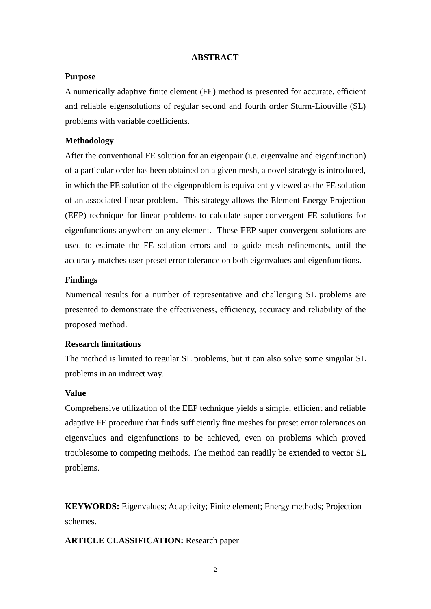#### **ABSTRACT**

#### **Purpose**

A numerically adaptive finite element (FE) method is presented for accurate, efficient and reliable eigensolutions of regular second and fourth order Sturm-Liouville (SL) problems with variable coefficients.

#### **Methodology**

After the conventional FE solution for an eigenpair (i.e. eigenvalue and eigenfunction) of a particular order has been obtained on a given mesh, a novel strategy is introduced, in which the FE solution of the eigenproblem is equivalently viewed as the FE solution of an associated linear problem. This strategy allows the Element Energy Projection (EEP) technique for linear problems to calculate super-convergent FE solutions for eigenfunctions anywhere on any element. These EEP super-convergent solutions are used to estimate the FE solution errors and to guide mesh refinements, until the accuracy matches user-preset error tolerance on both eigenvalues and eigenfunctions.

#### **Findings**

Numerical results for a number of representative and challenging SL problems are presented to demonstrate the effectiveness, efficiency, accuracy and reliability of the proposed method.

## **Research limitations**

The method is limited to regular SL problems, but it can also solve some singular SL problems in an indirect way.

#### **Value**

Comprehensive utilization of the EEP technique yields a simple, efficient and reliable adaptive FE procedure that finds sufficiently fine meshes for preset error tolerances on eigenvalues and eigenfunctions to be achieved, even on problems which proved troublesome to competing methods. The method can readily be extended to vector SL problems.

**KEYWORDS:** Eigenvalues; Adaptivity; Finite element; Energy methods; Projection schemes.

**ARTICLE CLASSIFICATION:** Research paper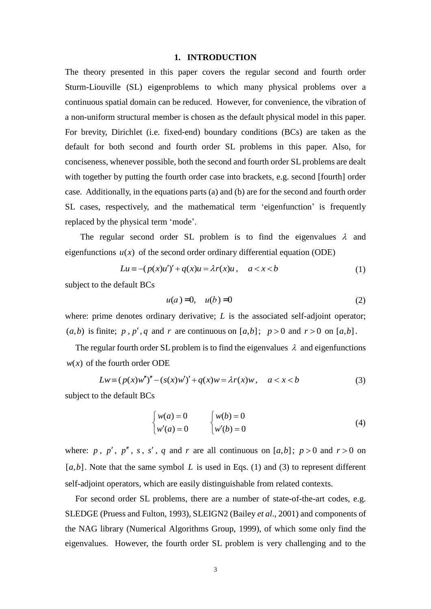#### **1. INTRODUCTION**

The theory presented in this paper covers the regular second and fourth order Sturm-Liouville (SL) eigenproblems to which many physical problems over a continuous spatial domain can be reduced. However, for convenience, the vibration of a non-uniform structural member is chosen as the default physical model in this paper. For brevity, Dirichlet (i.e. fixed-end) boundary conditions (BCs) are taken as the default for both second and fourth order SL problems in this paper. Also, for conciseness, whenever possible, both the second and fourth order SL problems are dealt with together by putting the fourth order case into brackets, e.g. second [fourth] order case. Additionally, in the equations parts (a) and (b) are for the second and fourth order SL cases, respectively, and the mathematical term 'eigenfunction' is frequently replaced by the physical term 'mode'.

The regular second order SL problem is to find the eigenvalues  $\lambda$  and eigenfunctions  $u(x)$  of the second order ordinary differential equation (ODE)

$$
Lu \equiv -(p(x)u')' + q(x)u = \lambda r(x)u, \quad a < x < b \tag{1}
$$

subject to the default BCs

<span id="page-3-0"></span>
$$
u(a) = 0, \quad u(b) = 0 \tag{2}
$$

where: prime denotes ordinary derivative; *L* is the associated self-adjoint operator;  $(a,b)$  is finite; *p*, *p'*, *q* and *r* are continuous on  $[a,b]$ ; *p* > 0 and *r* > 0 on  $[a,b]$ .

The regular fourth order SL problem is to find the eigenvalues  $\lambda$  and eigenfunctions  $w(x)$  of the fourth order ODE

$$
Lw \equiv (p(x)w'')'' - (s(x)w')' + q(x)w = \lambda r(x)w, \quad a < x < b
$$
 (3)

subject to the default BCs

<span id="page-3-1"></span>
$$
\begin{cases}\nw(a) = 0 & \quad \left\{w(b) = 0\right. \\
w'(a) = 0 & \quad \left\{w'(b) = 0\right.\n\end{cases} \tag{4}
$$

where:  $p$ ,  $p'$ ,  $p''$ ,  $s$ ,  $s'$ ,  $q$  and  $r$  are all continuous on [a,b];  $p > 0$  and  $r > 0$  on  $[a,b]$ . Note that the same symbol *L* is used in Eqs. [\(1\)](#page-3-0) and [\(3\)](#page-3-1) to represent different self-adjoint operators, which are easily distinguishable from related contexts.

For second order SL problems, there are a number of state-of-the-art codes, e.g. SLEDGE (Pruess and Fulton, 1993), SLEIGN2 (Bailey *et al*., 2001) and components of the NAG library (Numerical Algorithms Group, 1999), of which some only find the eigenvalues. However, the fourth order SL problem is very challenging and to the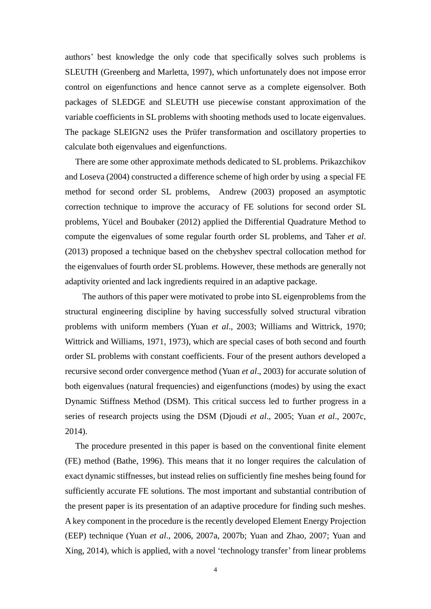authors' best knowledge the only code that specifically solves such problems is SLEUTH (Greenberg and Marletta, 1997), which unfortunately does not impose error control on eigenfunctions and hence cannot serve as a complete eigensolver. Both packages of SLEDGE and SLEUTH use piecewise constant approximation of the variable coefficients in SL problems with shooting methods used to locate eigenvalues. The package SLEIGN2 uses the Prüfer transformation and oscillatory properties to calculate both eigenvalues and eigenfunctions.

There are some other approximate methods dedicated to SL problems. Prikazchikov and Loseva (2004) constructed a difference scheme of high order by using a special FE method for second order SL problems, Andrew (2003) proposed an asymptotic correction technique to improve the accuracy of FE solutions for second order SL problems, Yücel and Boubaker (2012) applied the Differential Quadrature Method to compute the eigenvalues of some regular fourth order SL problems, and Taher *et al*. (2013) proposed a technique based on the chebyshev spectral collocation method for the eigenvalues of fourth order SL problems. However, these methods are generally not adaptivity oriented and lack ingredients required in an adaptive package.

The authors of this paper were motivated to probe into SL eigenproblems from the structural engineering discipline by having successfully solved structural vibration problems with uniform members (Yuan *et al*., 2003; Williams and Wittrick, 1970; Wittrick and Williams, 1971, 1973), which are special cases of both second and fourth order SL problems with constant coefficients. Four of the present authors developed a recursive second order convergence method (Yuan *et al*., 2003) for accurate solution of both eigenvalues (natural frequencies) and eigenfunctions (modes) by using the exact Dynamic Stiffness Method (DSM). This critical success led to further progress in a series of research projects using the DSM (Djoudi *et al*., 2005; Yuan *et al*., 2007c, 2014).

The procedure presented in this paper is based on the conventional finite element (FE) method (Bathe, 1996). This means that it no longer requires the calculation of exact dynamic stiffnesses, but instead relies on sufficiently fine meshes being found for sufficiently accurate FE solutions. The most important and substantial contribution of the present paper is its presentation of an adaptive procedure for finding such meshes. A key component in the procedure is the recently developed Element Energy Projection (EEP) technique (Yuan *et al*., 2006, 2007a, 2007b; Yuan and Zhao, 2007; Yuan and Xing, 2014), which is applied, with a novel 'technology transfer' from linear problems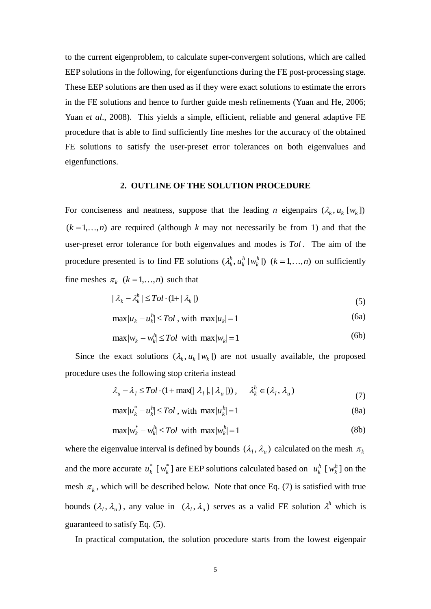to the current eigenproblem, to calculate super-convergent solutions, which are called EEP solutions in the following, for eigenfunctions during the FE post-processing stage. These EEP solutions are then used as if they were exact solutions to estimate the errors in the FE solutions and hence to further guide mesh refinements (Yuan and He, 2006; Yuan *et al.*, 2008). This yields a simple, efficient, reliable and general adaptive FE procedure that is able to find sufficiently fine meshes for the accuracy of the obtained FE solutions to satisfy the user-preset error tolerances on both eigenvalues and eigenfunctions.

#### **2. OUTLINE OF THE SOLUTION PROCEDURE**

For conciseness and neatness, suppose that the leading *n* eigenpairs  $(\lambda_k, u_k \mid w_k)$  $(k = 1, \ldots, n)$  are required (although *k* may not necessarily be from 1) and that the user-preset error tolerance for both eigenvalues and modes is *Tol* . The aim of the procedure presented is to find FE solutions  $(\lambda_k^h, u_k^h \, [\, w_k^h] )$ *h k*  $\lambda_k^h$ ,  $u_k^h$  [ $w_k^h$ ]) ( $k = 1,...,n$ ) on sufficiently fine meshes  $\pi_k$  ( $k = 1, ..., n$ ) such that

$$
|\lambda_k - \lambda_k^h| \leq Tol \cdot (1 + |\lambda_k|) \tag{5}
$$

<span id="page-5-0"></span>
$$
\max/u_k - u_k^h \leq Tol \text{, with } \max/u_k = 1 \tag{6a}
$$

$$
\max/w_k - w_k^{h_j} \leq Tol \quad \text{with} \quad \max/w_k = 1 \tag{6b}
$$

Since the exact solutions  $(\lambda_k, u_k \, [w_k])$  are not usually available, the proposed procedure uses the following stop criteria instead

<span id="page-5-2"></span>
$$
\lambda_{u} - \lambda_{l} \leq Tol \cdot (1 + \max(|\lambda_{l}|, |\lambda_{u}|)), \quad \lambda_{k}^{h} \in (\lambda_{l}, \lambda_{u})
$$
\n
$$
(7)
$$

<span id="page-5-1"></span>
$$
\max/u_k^* - u_k^h / \leq Tol \text{, with } \max/u_k^h / = 1 \tag{8a}
$$

$$
\max/w_k^* - w_k^h / \leq Tol \quad \text{with} \quad \max/w_k^h = 1 \tag{8b}
$$

where the eigenvalue interval is defined by bounds  $(\lambda_l, \lambda_u)$  calculated on the mesh  $\pi_k$ and the more accurate  $u_k^*$  [ $w_k^*$ ] are EEP solutions calculated based on  $u_k^h$  [ $w_k^h$ ] on the mesh  $\pi_k$ , which will be described below. Note that once Eq. (7) is satisfied with true bounds  $(\lambda_1, \lambda_1)$ , any value in  $(\lambda_1, \lambda_1)$  serves as a valid FE solution  $\lambda^h$  which is guaranteed to satisfy Eq. (5).

In practical computation, the solution procedure starts from the lowest eigenpair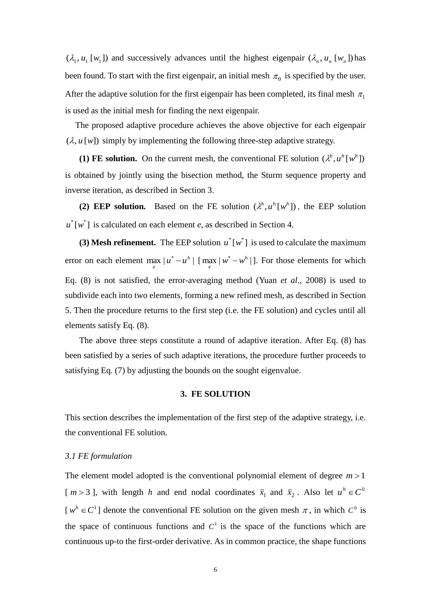$(\lambda_1, u_1 [w_1])$  and successively advances until the highest eigenpair  $(\lambda_n, u_n [w_n])$  has been found. To start with the first eigenpair, an initial mesh  $\pi_0$  is specified by the user. After the adaptive solution for the first eigenpair has been completed, its final mesh  $\pi_1$ is used as the initial mesh for finding the next eigenpair.

The proposed adaptive procedure achieves the above objective for each eigenpair  $(\lambda, u[w])$  simply by implementing the following three-step adaptive strategy.

**(1) FE solution.** On the current mesh, the conventional FE solution  $(\lambda^h, u^h[w^h])$ is obtained by jointly using the bisection method, the Sturm sequence property and inverse iteration, as described in Section 3.

**(2) EEP solution.** Based on the FE solution  $(\lambda^h, u^h[w^h])$ , the EEP solution  $u^*$  [ $w^*$ ] is calculated on each element *e*, as described in Section 4.

**(3) Mesh refinement.** The EEP solution  $u^* [w^*]$  is used to calculate the maximum error on each element max  $|u^* - u^h|$  $\max_{e} |u^* - u^h|$  [ max  $|w^* - w^h|$  $\max_{e} |w^* - w^h|$ . For those elements for which Eq. [\(8\)](#page-5-1) is not satisfied, the error-averaging method (Yuan *et al*., 2008) is used to subdivide each into two elements, forming a new refined mesh, as described in Section 5. Then the procedure returns to the first step (i.e. the FE solution) and cycles until all elements satisfy Eq. [\(8\)](#page-5-1).

The above three steps constitute a round of adaptive iteration. After Eq. (8) has been satisfied by a series of such adaptive iterations, the procedure further proceeds to satisfying Eq. [\(7\)](#page-5-2) by adjusting the bounds on the sought eigenvalue.

#### **3. FE SOLUTION**

This section describes the implementation of the first step of the adaptive strategy, i.e. the conventional FE solution.

#### *3.1 FE formulation*

The element model adopted is the conventional polynomial element of degree  $m > 1$ [ $m > 3$ ], with length *h* and end nodal coordinates  $\bar{x}_1$  and  $\bar{x}_2$ . Also let  $u^h \in C^0$  $[w^h \in C^1]$  denote the conventional FE solution on the given mesh  $\pi$ , in which  $C^0$  is the space of continuous functions and  $C<sup>1</sup>$  is the space of the functions which are continuous up-to the first-order derivative. As in common practice, the shape functions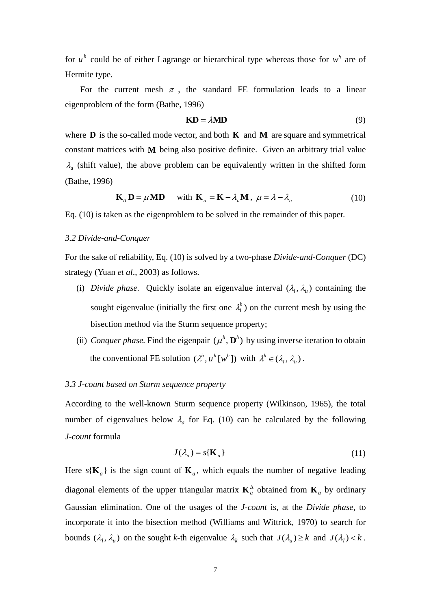for  $u^h$  could be of either Lagrange or hierarchical type whereas those for  $w^h$  are of Hermite type.

For the current mesh  $\pi$ , the standard FE formulation leads to a linear eigenproblem of the form (Bathe, 1996)

<span id="page-7-1"></span><span id="page-7-0"></span>
$$
KD = \lambda MD \tag{9}
$$

where **D** is the so-called mode vector, and both **K** and **M** are square and symmetrical constant matrices with **M** being also positive definite. Given an arbitrary trial value  $\lambda_a$  (shift value), the above problem can be equivalently written in the shifted form (Bathe, 1996)

$$
\mathbf{K}_a \mathbf{D} = \mu \mathbf{M} \mathbf{D} \quad \text{with } \mathbf{K}_a = \mathbf{K} - \lambda_a \mathbf{M}, \ \mu = \lambda - \lambda_a \tag{10}
$$

Eq. [\(10\)](#page-7-0) is taken as the eigenproblem to be solved in the remainder of this paper.

#### *3.2 Divide-and-Conquer*

For the sake of reliability, Eq. [\(10\)](#page-7-0) is solved by a two-phase *Divide-and-Conquer* (DC) strategy (Yuan *et al*., 2003) as follows.

- (i) *Divide phase*. Quickly isolate an eigenvalue interval  $(\lambda_l, \lambda_u)$  containing the sought eigenvalue (initially the first one  $\lambda_1^h$ ) on the current mesh by using the bisection method via the Sturm sequence property;
- (ii) *Conquer phase*. Find the eigenpair  $(\mu^h, \mathbf{D}^h)$  by using inverse iteration to obtain the conventional FE solution  $(\lambda^h, u^h[w^h])$  with  $\lambda^h \in (\lambda_1, \lambda_1)$ .

#### *3.3 J-count based on Sturm sequence property*

According to the well-known Sturm sequence property (Wilkinson, 1965), the total number of eigenvalues below  $\lambda_a$  for Eq. [\(10\)](#page-7-0) can be calculated by the following *J-count* formula

$$
J(\lambda_a) = s\{\mathbf{K}_a\} \tag{11}
$$

Here  $s(K_a)$  is the sign count of  $K_a$ , which equals the number of negative leading diagonal elements of the upper triangular matrix  $\mathbf{K}_a^{\Delta}$  obtained from  $\mathbf{K}_a$  by ordinary Gaussian elimination. One of the usages of the *J-count* is, at the *Divide phase*, to incorporate it into the bisection method (Williams and Wittrick, 1970) to search for bounds  $(\lambda_l, \lambda_u)$  on the sought *k*-th eigenvalue  $\lambda_k$  such that  $J(\lambda_u) \ge k$  and  $J(\lambda_l) < k$ .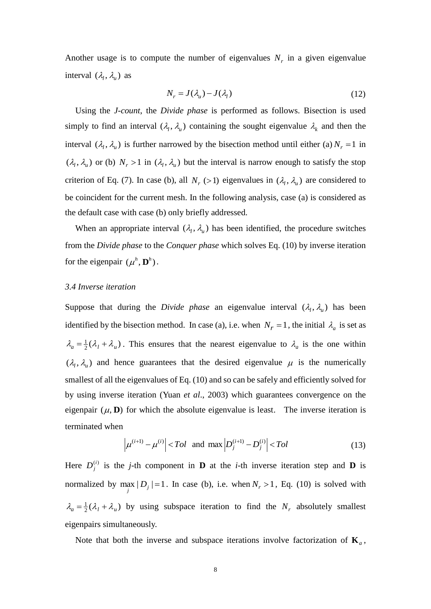Another usage is to compute the number of eigenvalues  $N_r$  in a given eigenvalue interval  $(\lambda_l, \lambda_u)$  as

$$
N_r = J(\lambda_u) - J(\lambda_l) \tag{12}
$$

Using the *J-count*, the *Divide phase* is performed as follows. Bisection is used simply to find an interval  $(\lambda_l, \lambda_u)$  containing the sought eigenvalue  $\lambda_k$  and then the interval  $(\lambda_l, \lambda_u)$  is further narrowed by the bisection method until either (a)  $N_r = 1$  in  $(\lambda_1, \lambda_1)$  or (b)  $N_r > 1$  in  $(\lambda_1, \lambda_1)$  but the interval is narrow enough to satisfy the stop criterion of Eq. [\(7\)](#page-5-2). In case (b), all  $N_r$  (>1) eigenvalues in  $(\lambda_l, \lambda_u)$  are considered to be coincident for the current mesh. In the following analysis, case (a) is considered as the default case with case (b) only briefly addressed.

When an appropriate interval  $(\lambda_l, \lambda_u)$  has been identified, the procedure switches from the *Divide phase* to the *Conquer phase* which solves Eq. [\(10\)](#page-7-0) by inverse iteration for the eigenpair  $(\mu^h, \mathbf{D}^h)$ .

#### *3.4 Inverse iteration*

Suppose that during the *Divide phase* an eigenvalue interval  $(\lambda_1, \lambda_1)$  has been identified by the bisection method. In case (a), i.e. when  $N_r = 1$ , the initial  $\lambda_a$  is set as  $\lambda_a = \frac{1}{2}(\lambda_l + \lambda_u)$ . This ensures that the nearest eigenvalue to  $\lambda_a$  is the one within  $(\lambda_l, \lambda_u)$  and hence guarantees that the desired eigenvalue  $\mu$  is the numerically smallest of all the eigenvalues of Eq. [\(10\)](#page-7-0) and so can be safely and efficiently solved for by using inverse iteration (Yuan *et al*., 2003) which guarantees convergence on the eigenpair  $(\mu, \mathbf{D})$  for which the absolute eigenvalue is least. The inverse iteration is terminated when

$$
\left| \mu^{(i+1)} - \mu^{(i)} \right| < Tol \quad \text{and} \quad \max \left| D_j^{(i+1)} - D_j^{(i)} \right| < Tol \tag{13}
$$

Here  $D_j^{(i)}$  is the *j*-th component in **D** at the *i*-th inverse iteration step and **D** is normalized by  $\max_{j} |D_j| = 1$ . In case (b), i.e. when  $N_r > 1$ , Eq. [\(10\)](#page-7-0) is solved with  $\lambda_a = \frac{1}{2}(\lambda_l + \lambda_u)$  by using subspace iteration to find the  $N_r$  absolutely smallest eigenpairs simultaneously.

Note that both the inverse and subspace iterations involve factorization of  $\mathbf{K}_a$ ,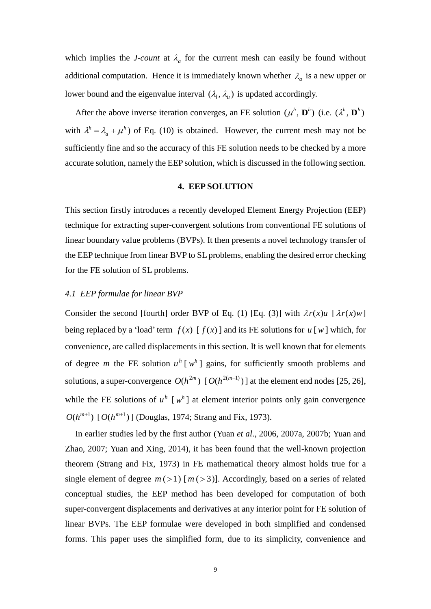which implies the *J-count* at  $\lambda_a$  for the current mesh can easily be found without additional computation. Hence it is immediately known whether  $\lambda_a$  is a new upper or lower bound and the eigenvalue interval  $(\lambda_l, \lambda_u)$  is updated accordingly.

After the above inverse iteration converges, an FE solution  $(\mu^h, \mathbf{D}^h)$  (i.e.  $(\lambda^h, \mathbf{D}^h)$ ) with  $\lambda^h = \lambda_a + \mu^h$  $\lambda^h = \lambda_a + \mu^h$ ) of Eq. [\(10\)](#page-7-0) is obtained. However, the current mesh may not be sufficiently fine and so the accuracy of this FE solution needs to be checked by a more accurate solution, namely the EEP solution, which is discussed in the following section.

### **4. EEP SOLUTION**

This section firstly introduces a recently developed Element Energy Projection (EEP) technique for extracting super-convergent solutions from conventional FE solutions of linear boundary value problems (BVPs). It then presents a novel technology transfer of the EEP technique from linear BVP to SL problems, enabling the desired error checking for the FE solution of SL problems.

#### *4.1 EEP formulae for linear BVP*

Consider the second [fourth] order BVP of Eq. [\(1\)](#page-3-0) [Eq. [\(3\)](#page-3-1)] with  $\lambda r(x)u$  [ $\lambda r(x)w$ ] being replaced by a 'load' term  $f(x)$  [  $f(x)$  ] and its FE solutions for  $u$  [w] which, for convenience, are called displacements in this section. It is well known that for elements of degree *m* the FE solution  $u^h$  [ $w^h$ ] gains, for sufficiently smooth problems and solutions, a super-convergence  $O(h^{2m})$  [ $O(h^{2(m-1)})$ ] at the element end nodes [25, 26], while the FE solutions of  $u^h$  [ $w^h$ ] at element interior points only gain convergence  $O(h^{m+1})$  [ $O(h^{m+1})$ ] (Douglas, 1974; Strang and Fix, 1973).

In earlier studies led by the first author (Yuan *et al*., 2006, 2007a, 2007b; Yuan and Zhao, 2007; Yuan and Xing, 2014), it has been found that the well-known projection theorem (Strang and Fix, 1973) in FE mathematical theory almost holds true for a single element of degree  $m(>1)$  [ $m(>3)$ ]. Accordingly, based on a series of related conceptual studies, the EEP method has been developed for computation of both super-convergent displacements and derivatives at any interior point for FE solution of linear BVPs. The EEP formulae were developed in both simplified and condensed forms. This paper uses the simplified form, due to its simplicity, convenience and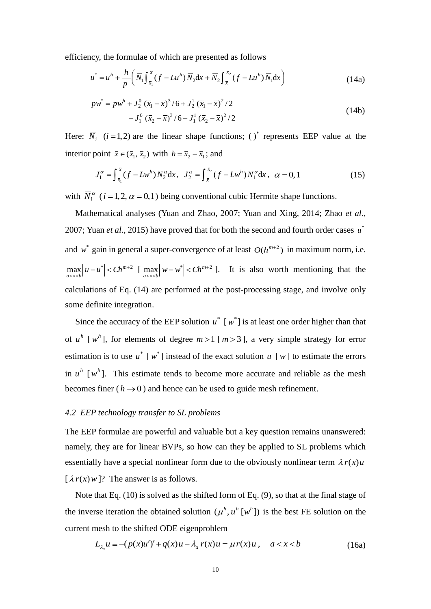efficiency, the formulae of which are presented as follows

<span id="page-10-0"></span>
$$
u^* = u^h + \frac{h}{p} \left( \overline{N}_1 \int_{\overline{x}_1}^{\overline{x}} (f - Lu^h) \overline{N}_2 dx + \overline{N}_2 \int_{\overline{x}}^{\overline{x}_2} (f - Lu^h) \overline{N}_1 dx \right)
$$
(14a)

$$
p\overline{w}^* = p\overline{w}^h + J_2^0 (\overline{x}_1 - \overline{x})^3 / 6 + J_2^1 (\overline{x}_1 - \overline{x})^2 / 2
$$
  

$$
-J_1^0 (\overline{x}_2 - \overline{x})^3 / 6 - J_1^1 (\overline{x}_2 - \overline{x})^2 / 2
$$
 (14b)

Here:  $\overline{N}_i$  (*i* = 1, 2) are the linear shape functions; ( )<sup>\*</sup> represents EEP value at the interior point  $\bar{x} \in (\bar{x}_1, \bar{x}_2)$  with  $h = \bar{x}_2 - \bar{x}_1$ ; and

$$
J_1^{\alpha} = \int_{\bar{x}_1}^{\bar{x}} (f - Lw^h) \, \overline{N}_2^{\alpha} dx, \quad J_2^{\alpha} = \int_{\bar{x}}^{\bar{x}_2} (f - Lw^h) \, \overline{N}_1^{\alpha} dx, \quad \alpha = 0, 1 \tag{15}
$$

with  $\overline{N}_i^{\alpha}$  (*i* = 1,2,  $\alpha$  = 0,1) being conventional cubic Hermite shape functions.

Mathematical analyses (Yuan and Zhao, 2007; Yuan and Xing, 2014; Zhao *et al*., 2007; Yuan *et al.*, 2015) have proved that for both the second and fourth order cases  $u^*$ and  $w^*$  gain in general a super-convergence of at least  $O(h^{m+2})$  in maximum norm, i.e.  $\max_{a < x < b} |u - u^*| < Ch^{m+2}$  $\max_{a < x < b} |u - u^*| < Ch^{m+2} \quad \text{[} \quad \max_{a < x < b} |w - w^*| < Ch^{m+2}$  $\max_{a \leq x \leq b} |w - w^*| < Ch^{m+2}$  ]. It is also worth mentioning that the calculations of Eq. [\(14\)](#page-10-0) are performed at the post-processing stage, and involve only some definite integration.

Since the accuracy of the EEP solution  $u^*$  [ $w^*$ ] is at least one order higher than that of  $u^h$  [ $w^h$ ], for elements of degree  $m > 1$  [ $m > 3$ ], a very simple strategy for error estimation is to use  $u^*$  [w<sup>\*</sup>] instead of the exact solution  $u$  [w] to estimate the errors in  $u^h$  [ $w^h$ ]. This estimate tends to become more accurate and reliable as the mesh becomes finer ( $h \rightarrow 0$ ) and hence can be used to guide mesh refinement.

#### *4.2 EEP technology transfer to SL problems*

The EEP formulae are powerful and valuable but a key question remains unanswered: namely, they are for linear BVPs, so how can they be applied to SL problems which essentially have a special nonlinear form due to the obviously nonlinear term  $\lambda r(x)u$  $\left[ \lambda r(x) w \right]$ ? The answer is as follows.

Note that Eq. [\(10\)](#page-7-0) is solved as the shifted form of Eq[. \(9\)](#page-7-1), so that at the final stage of the inverse iteration the obtained solution  $(\mu^h, u^h | w^h)$  is the best FE solution on the current mesh to the shifted ODE eigenproblem

<span id="page-10-1"></span>
$$
L_{\lambda_a} u \equiv -(p(x)u')' + q(x)u - \lambda_a r(x)u = \mu r(x)u, \quad a < x < b
$$
 (16a)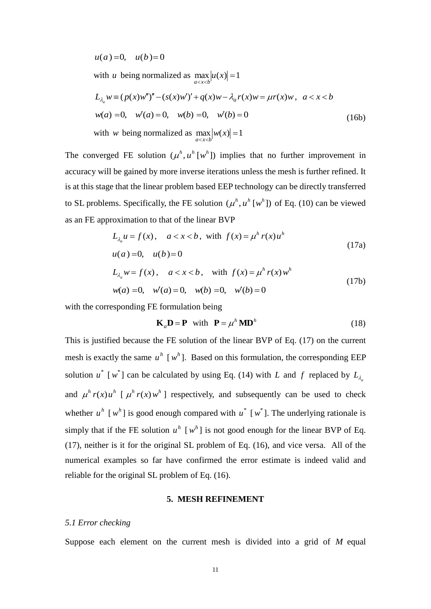$u(a) = 0$ ,  $u(b) = 0$ 

with *u* being normalized as  $\max_{a < x < b} |u(x)| = 1$ 

$$
L_{\lambda_a} w \equiv (p(x)w'')'' - (s(x)w')' + q(x)w - \lambda_a r(x)w = \mu r(x)w, \ a < x < b
$$
  
\n
$$
w(a) = 0, \quad w'(a) = 0, \quad w(b) = 0, \quad w'(b) = 0
$$
  
\nwith w being normalized as  $\max_{a < x < b} |w(x)| = 1$  (16b)

The converged FE solution  $(u^h, u^h | w^h)$  implies that no further improvement in accuracy will be gained by more inverse iterations unless the mesh is further refined. It is at this stage that the linear problem based EEP technology can be directly transferred to SL problems. Specifically, the FE solution  $(\mu^h, u^h | w^h)$  of Eq. [\(10\)](#page-7-0) can be viewed as an FE approximation to that of the linear BVP

$$
L_{\lambda_a} u = f(x), \quad a < x < b, \text{ with } f(x) = \mu^h r(x) u^h
$$
\n
$$
u(a) = 0, \quad u(b) = 0
$$
\n
$$
L_{\lambda_a} w = f(x), \quad a < x < b, \text{ with } f(x) = \mu^h r(x) w^h
$$
\n
$$
w(a) = 0, \quad w'(a) = 0, \quad w(b) = 0, \quad w'(b) = 0
$$
\n
$$
(17b)
$$

with the corresponding FE formulation being

<span id="page-11-0"></span>
$$
\mathbf{K}_a \mathbf{D} = \mathbf{P} \quad \text{with} \quad \mathbf{P} = \mu^h \mathbf{M} \mathbf{D}^h \tag{18}
$$

This is justified because the FE solution of the linear BVP of Eq. [\(17\)](#page-11-0) on the current mesh is exactly the same  $u^h$  [ $w^h$ ]. Based on this formulation, the corresponding EEP solution  $u^*$  [w<sup>\*</sup>] can be calculated by using Eq. [\(14\)](#page-10-0) with *L* and *f* replaced by  $L_{\lambda_d}$ and  $\mu^h r(x) u^h$  [ $\mu^h r(x) w^h$ ] respectively, and subsequently can be used to check whether  $u^h$  [ $w^h$ ] is good enough compared with  $u^*$  [ $w^*$ ]. The underlying rationale is simply that if the FE solution  $u^h$  [ $w^h$ ] is not good enough for the linear BVP of Eq. [\(17\)](#page-11-0), neither is it for the original SL problem of Eq. [\(16\)](#page-10-1), and vice versa. All of the numerical examples so far have confirmed the error estimate is indeed valid and reliable for the original SL problem of Eq. [\(16\)](#page-10-1).

#### **5. MESH REFINEMENT**

#### *5.1 Error checking*

Suppose each element on the current mesh is divided into a grid of *M* equal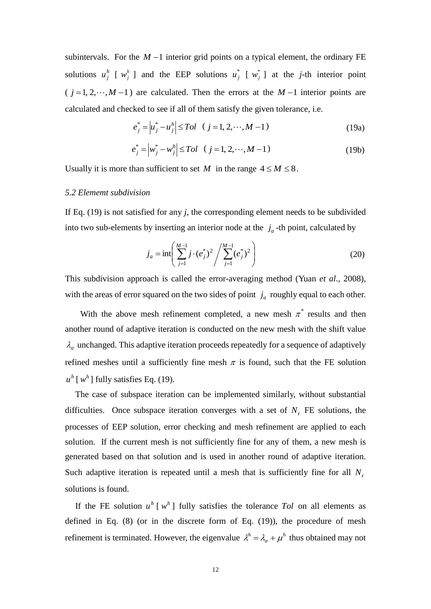subintervals. For the  $M-1$  interior grid points on a typical element, the ordinary FE solutions  $u_j^h$  [  $w_j^h$  ] and the EEP solutions  $u_j^*$  [  $w_j^*$  ] at the *j*-th interior point  $(j = 1, 2, \dots, M - 1)$  are calculated. Then the errors at the  $M - 1$  interior points are calculated and checked to see if all of them satisfy the given tolerance, i.e.

<span id="page-12-0"></span>
$$
e_j^* = |u_j^* - u_j^h| \leq Tol \quad (j = 1, 2, \cdots, M - 1)
$$
 (19a)

$$
e_j^* = |w_j^* - w_j^h| \leq Tol \quad (j = 1, 2, \cdots, M - 1)
$$
 (19b)

Usually it is more than sufficient to set *M* in the range  $4 \le M \le 8$ .

#### *5.2 Elememt subdivision*

If Eq. [\(19\)](#page-12-0) is not satisfied for any *j*, the corresponding element needs to be subdivided into two sub-elements by inserting an interior node at the  $j_a$ -th point, calculated by

$$
j_a = \inf \left( \sum_{j=1}^{M-1} j \cdot (e_j^*)^2 / \sum_{j=1}^{M-1} (e_j^*)^2 \right)
$$
 (20)

This subdivision approach is called the error-averaging method (Yuan *et al*., 2008), with the areas of error squared on the two sides of point  $j_a$  roughly equal to each other.

With the above mesh refinement completed, a new mesh  $\pi^*$  results and then another round of adaptive iteration is conducted on the new mesh with the shift value  $\lambda_a$  unchanged. This adaptive iteration proceeds repeatedly for a sequence of adaptively refined meshes until a sufficiently fine mesh  $\pi$  is found, such that the FE solution  $u^h$  [ $w^h$ ] fully satisfies Eq. [\(19\)](#page-12-0).

The case of subspace iteration can be implemented similarly, without substantial difficulties. Once subspace iteration converges with a set of  $N_r$  FE solutions, the processes of EEP solution, error checking and mesh refinement are applied to each solution. If the current mesh is not sufficiently fine for any of them, a new mesh is generated based on that solution and is used in another round of adaptive iteration. Such adaptive iteration is repeated until a mesh that is sufficiently fine for all *N<sup>r</sup>* solutions is found.

If the FE solution  $u^h$  [ $w^h$ ] fully satisfies the tolerance *Tol* on all elements as defined in Eq.  $(8)$  (or in the discrete form of Eq.  $(19)$ ), the procedure of mesh refinement is terminated. However, the eigenvalue  $\lambda^h = \lambda_a + \mu^h$  $\lambda^h = \lambda_a + \mu^h$  thus obtained may not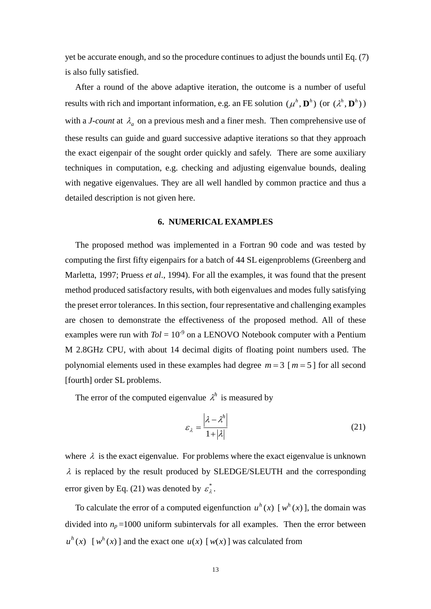yet be accurate enough, and so the procedure continues to adjust the bounds until Eq[. \(7\)](#page-5-2) is also fully satisfied.

After a round of the above adaptive iteration, the outcome is a number of useful results with rich and important information, e.g. an FE solution  $(\mu^h, \mathbf{D}^h)$  (or  $(\lambda^h, \mathbf{D}^h)$ ) with a *J-count* at  $\lambda_a$  on a previous mesh and a finer mesh. Then comprehensive use of these results can guide and guard successive adaptive iterations so that they approach the exact eigenpair of the sought order quickly and safely. There are some auxiliary techniques in computation, e.g. checking and adjusting eigenvalue bounds, dealing with negative eigenvalues. They are all well handled by common practice and thus a detailed description is not given here.

#### **6. NUMERICAL EXAMPLES**

The proposed method was implemented in a Fortran 90 code and was tested by computing the first fifty eigenpairs for a batch of 44 SL eigenproblems (Greenberg and Marletta, 1997; Pruess *et al*., 1994). For all the examples, it was found that the present method produced satisfactory results, with both eigenvalues and modes fully satisfying the preset error tolerances. In this section, four representative and challenging examples are chosen to demonstrate the effectiveness of the proposed method. All of these examples were run with  $Tol = 10^{-9}$  on a LENOVO Notebook computer with a Pentium M 2.8GHz CPU, with about 14 decimal digits of floating point numbers used. The polynomial elements used in these examples had degree  $m = 3$  [ $m = 5$ ] for all second [fourth] order SL problems.

The error of the computed eigenvalue  $\lambda^h$  is measured by

<span id="page-13-0"></span>
$$
\varepsilon_{\lambda} = \frac{\left|\lambda - \lambda^{h}\right|}{1 + \left|\lambda\right|} \tag{21}
$$

where  $\lambda$  is the exact eigenvalue. For problems where the exact eigenvalue is unknown  $\lambda$  is replaced by the result produced by SLEDGE/SLEUTH and the corresponding error given by Eq. [\(21\)](#page-13-0) was denoted by  $\varepsilon_{\lambda}^{*}$ .

To calculate the error of a computed eigenfunction  $u^h(x)$  [ $w^h(x)$ ], the domain was divided into  $n_p = 1000$  uniform subintervals for all examples. Then the error between  $u^h(x)$  [*w*<sup>*h*</sup>(*x*)] and the exact one *u*(*x*)[*w*(*x*)] was calculated from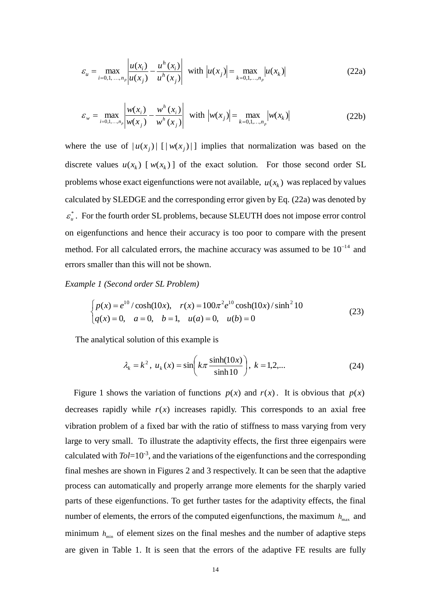<span id="page-14-0"></span>
$$
\varepsilon_{u} = \max_{i=0,1,\dots,n_{p}} \left| \frac{u(x_{i})}{u(x_{j})} - \frac{u^{h}(x_{i})}{u^{h}(x_{j})} \right| \text{ with } \left| u(x_{j}) \right| = \max_{k=0,1,\dots,n_{p}} \left| u(x_{k}) \right| \tag{22a}
$$

$$
\varepsilon_{w} = \max_{i=0,1,...,n_{p}} \left| \frac{w(x_{i})}{w(x_{j})} - \frac{w^{h}(x_{i})}{w^{h}(x_{j})} \right| \text{ with } \left| w(x_{j}) \right| = \max_{k=0,1,...,n_{p}} \left| w(x_{k}) \right| \tag{22b}
$$

where the use of  $|u(x_j)|$  [ $|w(x_j)|$ ] implies that normalization was based on the discrete values  $u(x_k)$  [ $w(x_k)$ ] of the exact solution. For those second order SL problems whose exact eigenfunctions were not available,  $u(x_k)$  was replaced by values calculated by SLEDGE and the corresponding error given by Eq. [\(22a](#page-14-0)) was denoted by \*  $\varepsilon_u^*$ . For the fourth order SL problems, because SLEUTH does not impose error control on eigenfunctions and hence their accuracy is too poor to compare with the present method. For all calculated errors, the machine accuracy was assumed to be  $10^{-14}$  and errors smaller than this will not be shown.

*Example 1 (Second order SL Problem)* 

$$
\begin{cases}\np(x) = e^{10} / \cosh(10x), & r(x) = 100\pi^2 e^{10} \cosh(10x) / \sinh^2 10 \\
q(x) = 0, & a = 0, \quad b = 1, \quad u(a) = 0, \quad u(b) = 0\n\end{cases}
$$
\n(23)

The analytical solution of this example is

$$
\lambda_k = k^2
$$
,  $u_k(x) = \sin\left(k\pi \frac{\sinh(10x)}{\sinh 10}\right)$ ,  $k = 1, 2,...$  (24)

Figure 1 shows the variation of functions  $p(x)$  and  $r(x)$ . It is obvious that  $p(x)$ decreases rapidly while  $r(x)$  increases rapidly. This corresponds to an axial free vibration problem of a fixed bar with the ratio of stiffness to mass varying from very large to very small. To illustrate the adaptivity effects, the first three eigenpairs were calculated with *Tol*=10-3, and the variations of the eigenfunctions and the corresponding final meshes are shown in Figures 2 and 3 respectively. It can be seen that the adaptive process can automatically and properly arrange more elements for the sharply varied parts of these eigenfunctions. To get further tastes for the adaptivity effects, the final number of elements, the errors of the computed eigenfunctions, the maximum  $h_{\text{max}}$  and minimum  $h_{\text{min}}$  of element sizes on the final meshes and the number of adaptive steps are given in Table 1. It is seen that the errors of the adaptive FE results are fully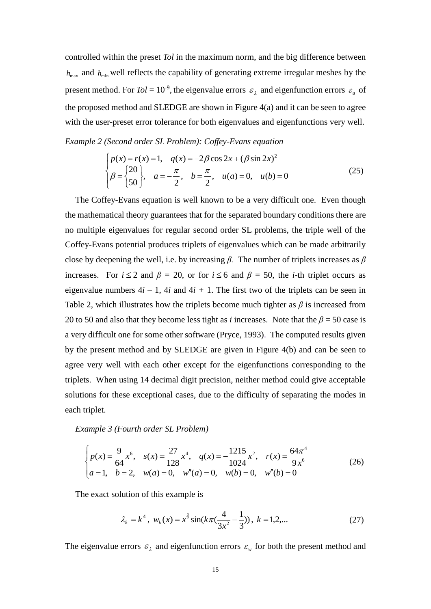controlled within the preset *Tol* in the maximum norm, and the big difference between  $h_{\text{max}}$  and  $h_{\text{min}}$  well reflects the capability of generating extreme irregular meshes by the present method. For  $Tol = 10^{-9}$ , the eigenvalue errors  $\varepsilon_{\lambda}$  and eigenfunction errors  $\varepsilon_{\mu}$  of the proposed method and SLEDGE are shown in Figure 4(a) and it can be seen to agree with the user-preset error tolerance for both eigenvalues and eigenfunctions very well.

*Example 2 (Second order SL Problem): Coffey-Evans equation* 

$$
\begin{cases}\np(x) = r(x) = 1, & q(x) = -2\beta \cos 2x + (\beta \sin 2x)^2 \\
\beta = \begin{cases}\n20 \\
50\n\end{cases}, & a = -\frac{\pi}{2}, & b = \frac{\pi}{2}, & u(a) = 0, & u(b) = 0\n\end{cases}
$$
\n(25)

The Coffey-Evans equation is well known to be a very difficult one. Even though the mathematical theory guarantees that for the separated boundary conditions there are no multiple eigenvalues for regular second order SL problems, the triple well of the Coffey-Evans potential produces triplets of eigenvalues which can be made arbitrarily close by deepening the well, i.e. by increasing *β.* The number of triplets increases as *β* increases. For  $i \le 2$  and  $\beta = 20$ , or for  $i \le 6$  and  $\beta = 50$ , the *i*-th triplet occurs as eigenvalue numbers  $4i - 1$ ,  $4i$  and  $4i + 1$ . The first two of the triplets can be seen in Table 2, which illustrates how the triplets become much tighter as *β* is increased from 20 to 50 and also that they become less tight as *i* increases. Note that the  $\beta$  = 50 case is a very difficult one for some other software (Pryce, 1993). The computed results given by the present method and by SLEDGE are given in Figure 4(b) and can be seen to agree very well with each other except for the eigenfunctions corresponding to the triplets. When using 14 decimal digit precision, neither method could give acceptable solutions for these exceptional cases, due to the difficulty of separating the modes in each triplet.

*Example 3 (Fourth order SL Problem)* 

$$
\begin{cases}\np(x) = \frac{9}{64}x^6, & s(x) = \frac{27}{128}x^4, & q(x) = -\frac{1215}{1024}x^2, & r(x) = \frac{64\pi^4}{9x^6} \\
a = 1, & b = 2, \quad w(a) = 0, & w''(a) = 0, & w(b) = 0, & w''(b) = 0\n\end{cases}
$$
\n(26)

The exact solution of this example is

$$
\lambda_k = k^4
$$
,  $w_k(x) = x^{\frac{3}{2}} \sin(k\pi(\frac{4}{3x^2} - \frac{1}{3}))$ ,  $k = 1, 2,...$  (27)

The eigenvalue errors  $\varepsilon_{\lambda}$  and eigenfunction errors  $\varepsilon_{w}$  for both the present method and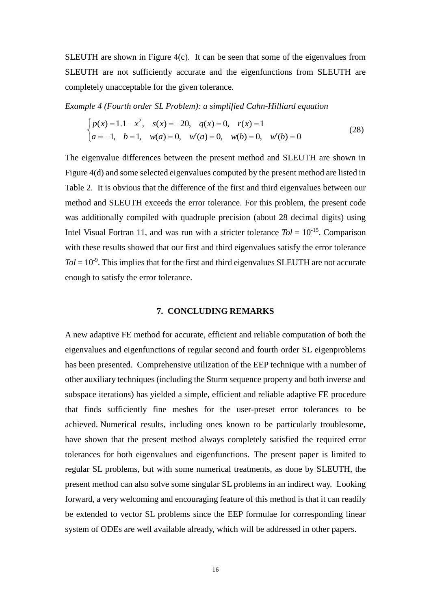SLEUTH are shown in Figure 4(c). It can be seen that some of the eigenvalues from SLEUTH are not sufficiently accurate and the eigenfunctions from SLEUTH are completely unacceptable for the given tolerance.

*Example 4 (Fourth order SL Problem): a simplified Cahn-Hilliard equation* 

$$
\begin{cases}\np(x) = 1.1 - x^2, & s(x) = -20, \quad q(x) = 0, \quad r(x) = 1 \\
a = -1, \quad b = 1, \quad w(a) = 0, \quad w'(a) = 0, \quad w(b) = 0, \quad w'(b) = 0\n\end{cases}
$$
\n(28)

The eigenvalue differences between the present method and SLEUTH are shown in Figure 4(d) and some selected eigenvalues computed by the present method are listed in Table 2. It is obvious that the difference of the first and third eigenvalues between our method and SLEUTH exceeds the error tolerance. For this problem, the present code was additionally compiled with quadruple precision (about 28 decimal digits) using Intel Visual Fortran 11, and was run with a stricter tolerance  $Tol = 10^{-15}$ . Comparison with these results showed that our first and third eigenvalues satisfy the error tolerance  $Tol = 10^{-9}$ . This implies that for the first and third eigenvalues SLEUTH are not accurate enough to satisfy the error tolerance.

#### **7. CONCLUDING REMARKS**

A new adaptive FE method for accurate, efficient and reliable computation of both the eigenvalues and eigenfunctions of regular second and fourth order SL eigenproblems has been presented. Comprehensive utilization of the EEP technique with a number of other auxiliary techniques (including the Sturm sequence property and both inverse and subspace iterations) has yielded a simple, efficient and reliable adaptive FE procedure that finds sufficiently fine meshes for the user-preset error tolerances to be achieved. Numerical results, including ones known to be particularly troublesome, have shown that the present method always completely satisfied the required error tolerances for both eigenvalues and eigenfunctions. The present paper is limited to regular SL problems, but with some numerical treatments, as done by SLEUTH, the present method can also solve some singular SL problems in an indirect way. Looking forward, a very welcoming and encouraging feature of this method is that it can readily be extended to vector SL problems since the EEP formulae for corresponding linear system of ODEs are well available already, which will be addressed in other papers.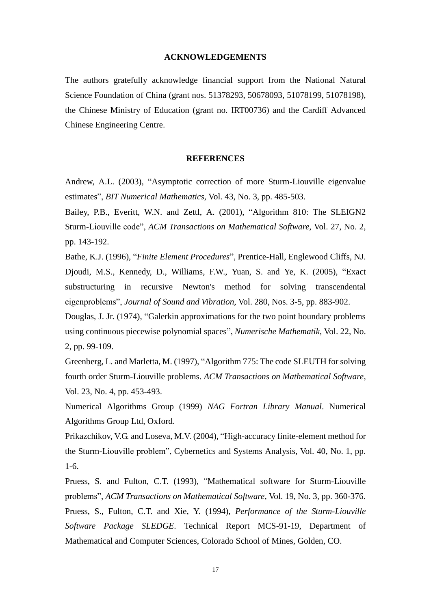#### **ACKNOWLEDGEMENTS**

The authors gratefully acknowledge financial support from the National Natural Science Foundation of China (grant nos. 51378293, 50678093, 51078199, 51078198), the Chinese Ministry of Education (grant no. IRT00736) and the Cardiff Advanced Chinese Engineering Centre.

#### **REFERENCES**

Andrew, A.L. (2003), "Asymptotic correction of more Sturm-Liouville eigenvalue estimates", *BIT Numerical Mathematics*, Vol. 43, No. 3, pp. 485-503.

Bailey, P.B., Everitt, W.N. and Zettl, A. (2001), "Algorithm 810: The SLEIGN2 Sturm-Liouville code", *ACM Transactions on Mathematical Software*, Vol. 27, No. 2, pp. 143-192.

Bathe, K.J. (1996), "*Finite Element Procedures*", Prentice-Hall, Englewood Cliffs, NJ. Djoudi, M.S., Kennedy, D., Williams, F.W., Yuan, S. and Ye, K. (2005), "Exact substructuring in recursive Newton's method for solving transcendental eigenproblems", *Journal of Sound and Vibration*, Vol. 280, Nos. 3-5, pp. 883-902.

Douglas, J. Jr. (1974), "Galerkin approximations for the two point boundary problems using continuous piecewise polynomial spaces", *Numerische Mathematik*, Vol. 22, No. 2, pp. 99-109.

Greenberg, L. and Marletta, M. (1997), "Algorithm 775: The code SLEUTH for solving fourth order Sturm-Liouville problems. *ACM Transactions on Mathematical Software*, Vol. 23, No. 4, pp. 453-493.

Numerical Algorithms Group (1999) *NAG Fortran Library Manual*. Numerical Algorithms Group Ltd, Oxford.

Prikazchikov, V.G. and Loseva, M.V. (2004), "High-accuracy finite-element method for the Sturm-Liouville problem", Cybernetics and Systems Analysis, Vol. 40, No. 1, pp. 1-6.

Pruess, S. and Fulton, C.T. (1993), "Mathematical software for Sturm-Liouville problems", *ACM Transactions on Mathematical Software*, Vol. 19, No. 3, pp. 360-376. Pruess, S., Fulton, C.T. and Xie, Y. (1994), *Performance of the Sturm-Liouville Software Package SLEDGE*. Technical Report MCS-91-19, Department of Mathematical and Computer Sciences, Colorado School of Mines, Golden, CO.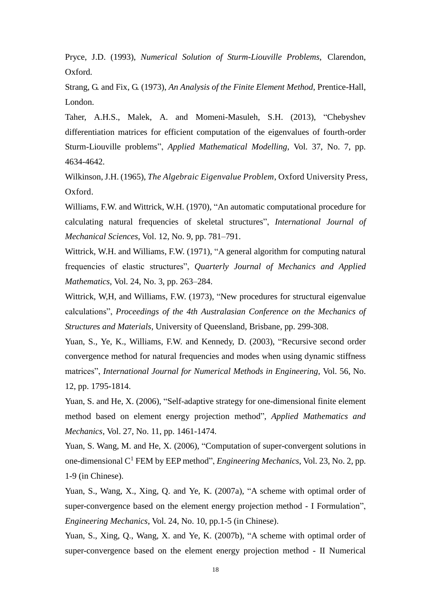Pryce, J.D. (1993), *Numerical Solution of Sturm-Liouville Problems*, Clarendon, Oxford.

Strang, G. and Fix, G. (1973), *An Analysis of the Finite Element Method*, Prentice-Hall, London.

Taher, A.H.S., Malek, A. and Momeni-Masuleh, S.H. (2013), "Chebyshev differentiation matrices for efficient computation of the eigenvalues of fourth-order Sturm-Liouville problems", *Applied Mathematical Modelling*, Vol. 37, No. 7, pp. 4634-4642.

Wilkinson, J.H. (1965), *The Algebraic Eigenvalue Problem*, Oxford University Press, Oxford.

Williams, F.W. and Wittrick, W.H. (1970), "An automatic computational procedure for calculating natural frequencies of skeletal structures", *International Journal of Mechanical Sciences*, Vol. 12, No. 9, pp. 781–791.

Wittrick, W.H. and Williams, F.W. (1971), "A general algorithm for computing natural frequencies of elastic structures", *Quarterly Journal of Mechanics and Applied Mathematics*, Vol. 24, No. 3, pp. 263–284.

Wittrick, W,H, and Williams, F.W. (1973), "New procedures for structural eigenvalue calculations", *Proceedings of the 4th Australasian Conference on the Mechanics of Structures and Materials*, University of Queensland, Brisbane, pp. 299-308.

Yuan, S., Ye, K., Williams, F.W. and Kennedy, D. (2003), "Recursive second order convergence method for natural frequencies and modes when using dynamic stiffness matrices", *International Journal for Numerical Methods in Engineering*, Vol. 56, No. 12, pp. 1795-1814.

Yuan, S. and He, X. (2006), "Self-adaptive strategy for one-dimensional finite element method based on element energy projection method", *Applied Mathematics and Mechanics*, Vol. 27, No. 11, pp. 1461-1474.

Yuan, S. Wang, M. and He, X. (2006), "Computation of super-convergent solutions in one-dimensional C<sup>1</sup> FEM by EEP method", *Engineering Mechanics*, Vol. 23, No. 2, pp. 1-9 (in Chinese).

Yuan, S., Wang, X., Xing, Q. and Ye, K. (2007a), "A scheme with optimal order of super-convergence based on the element energy projection method - I Formulation", *Engineering Mechanics*, Vol. 24, No. 10, pp.1-5 (in Chinese).

Yuan, S., Xing, Q., Wang, X. and Ye, K. (2007b), "A scheme with optimal order of super-convergence based on the element energy projection method - II Numerical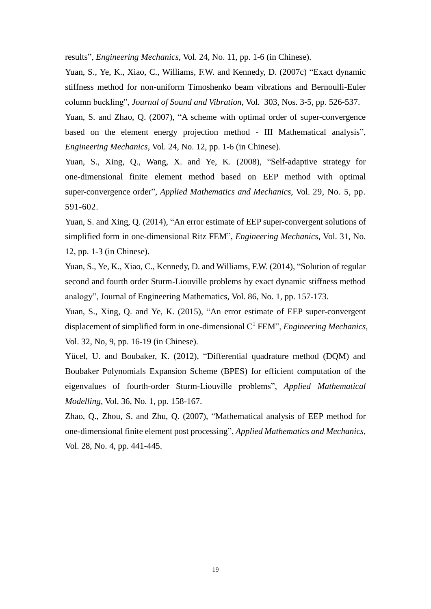results", *Engineering Mechanics*, Vol. 24, No. 11, pp. 1-6 (in Chinese).

Yuan, S., Ye, K., Xiao, C., Williams, F.W. and Kennedy, D. (2007c) "Exact dynamic stiffness method for non-uniform Timoshenko beam vibrations and Bernoulli-Euler column buckling", *Journal of Sound and Vibration*, Vol. 303, Nos. 3-5, pp. 526-537.

Yuan, S. and Zhao, Q. (2007), "A scheme with optimal order of super-convergence based on the element energy projection method - III Mathematical analysis", *Engineering Mechanics*, Vol. 24, No. 12, pp. 1-6 (in Chinese).

Yuan, S., Xing, Q., Wang, X. and Ye, K. (2008), "Self-adaptive strategy for one-dimensional finite element method based on EEP method with optimal super-convergence order", *Applied Mathematics and Mechanics*, Vol. 29, No. 5, pp. 591-602.

Yuan, S. and Xing, Q. (2014), "An error estimate of EEP super-convergent solutions of simplified form in one-dimensional Ritz FEM", *Engineering Mechanics*, Vol. 31, No. 12, pp. 1-3 (in Chinese).

Yuan, S., Ye, K., Xiao, C., Kennedy, D. and Williams, F.W. (2014), "Solution of regular second and fourth order Sturm-Liouville problems by exact dynamic stiffness method analogy", Journal of Engineering Mathematics, Vol. 86, No. 1, pp. 157-173.

Yuan, S., Xing, Q. and Ye, K. (2015), "An error estimate of EEP super-convergent displacement of simplified form in one-dimensional C<sup>1</sup> FEM", *Engineering Mechanics*, Vol. 32, No, 9, pp. 16-19 (in Chinese).

Yücel, U. and Boubaker, K. (2012), "Differential quadrature method (DQM) and Boubaker Polynomials Expansion Scheme (BPES) for efficient computation of the eigenvalues of fourth-order Sturm-Liouville problems", *Applied Mathematical Modelling*, Vol. 36, No. 1, pp. 158-167.

Zhao, Q., Zhou, S. and Zhu, Q. (2007), "Mathematical analysis of EEP method for one-dimensional finite element post processing", *Applied Mathematics and Mechanics*, Vol. 28, No. 4, pp. 441-445.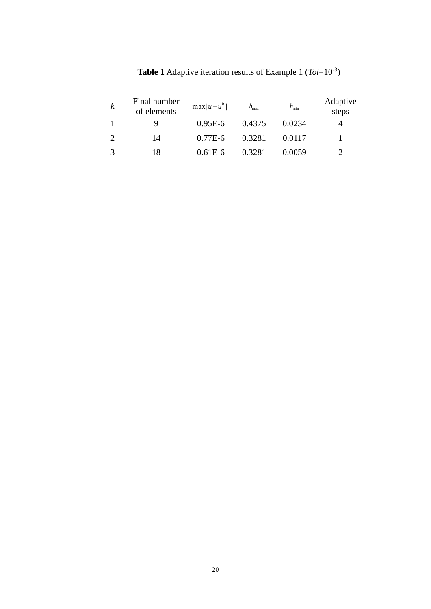| ĸ | Final number<br>of elements | $\max u-u^h $ | $h_{\text{max}}$ | $h_{\min}$ | Adaptive<br>steps |
|---|-----------------------------|---------------|------------------|------------|-------------------|
|   |                             | $0.95E-6$     | 0.4375           | 0.0234     |                   |
|   | 14                          | $0.77E-6$     | 0.3281           | 0.0117     |                   |
|   | 18                          | $0.61E-6$     | 0.3281           | 0.0059     |                   |

**Table 1** Adaptive iteration results of Example 1 (*Tol*=10-3)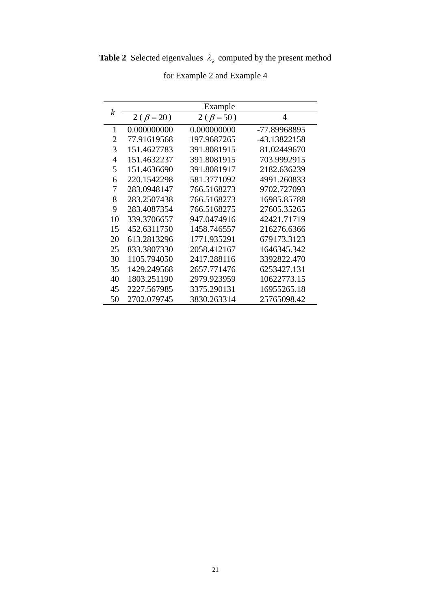**Table 2** Selected eigenvalues  $\lambda_k$  computed by the present method

| k  | Example         |                   |              |  |  |
|----|-----------------|-------------------|--------------|--|--|
|    | $2(\beta = 20)$ | 2 ( $\beta$ = 50) | 4            |  |  |
| 1  | 0.000000000     | 0.000000000       | -77.89968895 |  |  |
| 2  | 77.91619568     | 197.9687265       | -43.13822158 |  |  |
| 3  | 151.4627783     | 391.8081915       | 81.02449670  |  |  |
| 4  | 151.4632237     | 391.8081915       | 703.9992915  |  |  |
| 5  | 151.4636690     | 391.8081917       | 2182.636239  |  |  |
| 6  | 220.1542298     | 581.3771092       | 4991.260833  |  |  |
| 7  | 283.0948147     | 766.5168273       | 9702.727093  |  |  |
| 8  | 283.2507438     | 766.5168273       | 16985.85788  |  |  |
| 9  | 283.4087354     | 766.5168275       | 27605.35265  |  |  |
| 10 | 339.3706657     | 947.0474916       | 42421.71719  |  |  |
| 15 | 452.6311750     | 1458.746557       | 216276.6366  |  |  |
| 20 | 613.2813296     | 1771.935291       | 679173.3123  |  |  |
| 25 | 833.3807330     | 2058.412167       | 1646345.342  |  |  |
| 30 | 1105.794050     | 2417.288116       | 3392822.470  |  |  |
| 35 | 1429.249568     | 2657.771476       | 6253427.131  |  |  |
| 40 | 1803.251190     | 2979.923959       | 10622773.15  |  |  |
| 45 | 2227.567985     | 3375.290131       | 16955265.18  |  |  |
| 50 | 2702.079745     | 3830.263314       | 25765098.42  |  |  |

for Example 2 and Example 4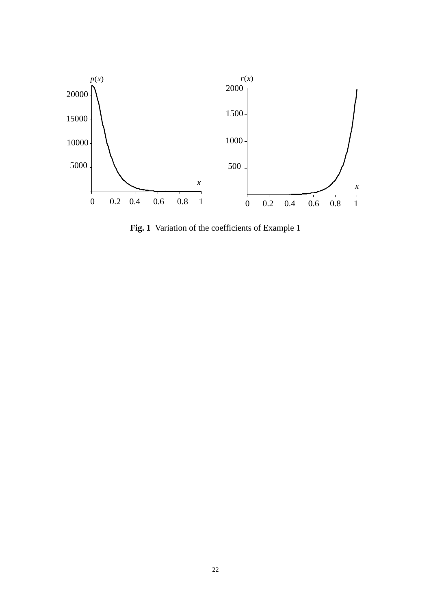

**Fig. 1** Variation of the coefficients of Example 1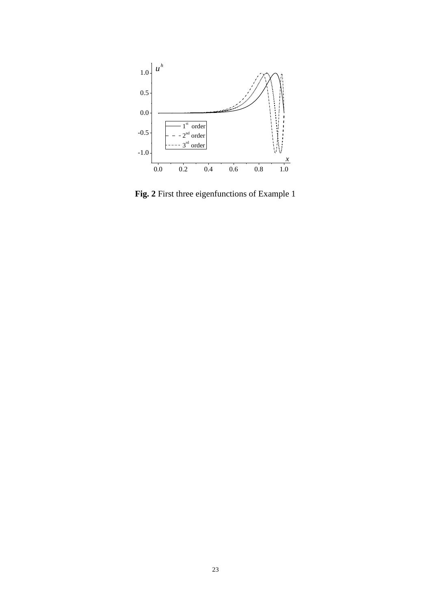

**Fig. 2** First three eigenfunctions of Example 1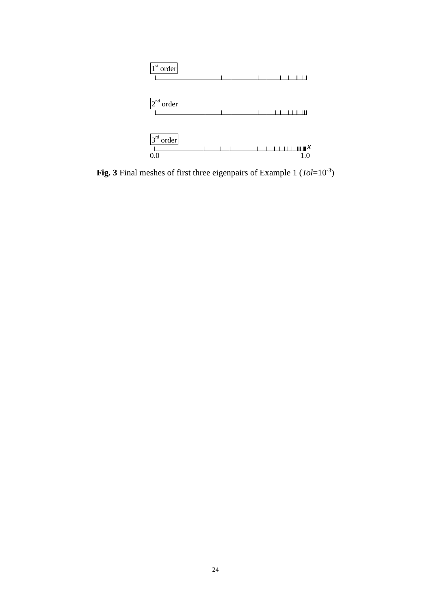

**Fig. 3** Final meshes of first three eigenpairs of Example 1 (*Tol*=10-3)